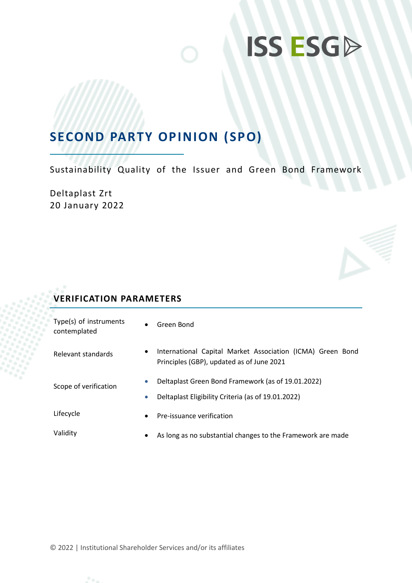## **SECOND PARTY OPINION (SPO)**

Sustainability Quality of the Issuer and Green Bond Framework

Deltaplast Zrt 20 January 2022

### **VERIFICATION PARAMETERS**

| Type(s) of instruments<br>contemplated | $\bullet$              | Green Bond                                                                                               |  |
|----------------------------------------|------------------------|----------------------------------------------------------------------------------------------------------|--|
| Relevant standards                     | $\bullet$              | International Capital Market Association (ICMA) Green Bond<br>Principles (GBP), updated as of June 2021  |  |
| Scope of verification                  | $\bullet$<br>$\bullet$ | Deltaplast Green Bond Framework (as of 19.01.2022)<br>Deltaplast Eligibility Criteria (as of 19.01.2022) |  |
| Lifecycle                              | $\bullet$              | Pre-issuance verification                                                                                |  |
| Validity                               | $\bullet$              | As long as no substantial changes to the Framework are made                                              |  |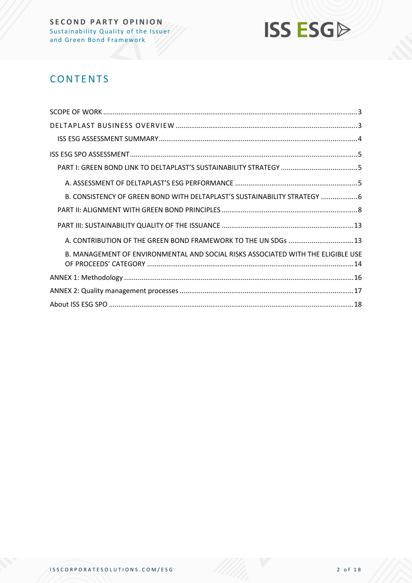

## **CONTENTS**

| B. CONSISTENCY OF GREEN BOND WITH DELTAPLAST'S SUSTAINABILITY STRATEGY  6        |
|----------------------------------------------------------------------------------|
|                                                                                  |
|                                                                                  |
| A. CONTRIBUTION OF THE GREEN BOND FRAMEWORK TO THE UN SDGs  13                   |
| B. MANAGEMENT OF ENVIRONMENTAL AND SOCIAL RISKS ASSOCIATED WITH THE ELIGIBLE USE |
|                                                                                  |
|                                                                                  |
|                                                                                  |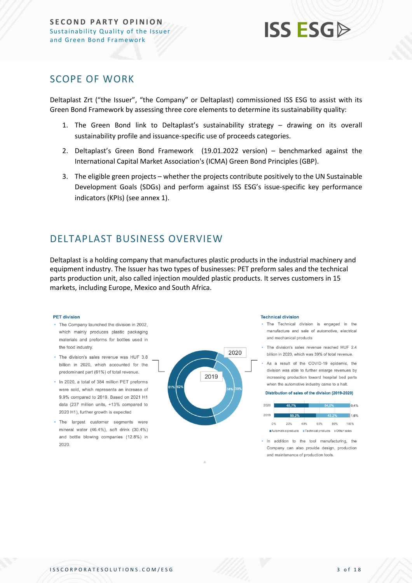### <span id="page-2-0"></span>SCOPE OF WORK

Deltaplast Zrt ("the Issuer", "the Company" or Deltaplast) commissioned ISS ESG to assist with its Green Bond Framework by assessing three core elements to determine its sustainability quality:

- 1. The Green Bond link to Deltaplast's sustainability strategy drawing on its overall sustainability profile and issuance-specific use of proceeds categories.
- 2. Deltaplast's Green Bond Framework (19.01.2022 version) benchmarked against the International Capital Market Association's (ICMA) Green Bond Principles (GBP).
- 3. The eligible green projects whether the projects contribute positively to the UN Sustainable Development Goals (SDGs) and perform against ISS ESG's issue-specific key performance indicators (KPIs) (see annex 1).

## <span id="page-2-1"></span>DELTAPLAST BUSINESS OVERVIEW

Deltaplast is a holding company that manufactures plastic products in the industrial machinery and equipment industry. The Issuer has two types of businesses: PET preform sales and the technical parts production unit, also called injection moulded plastic products. It serves customers in 15 markets, including Europe, Mexico and South Africa.

#### **PET division**

- . The Company launched the division in 2002. which mainly produces plastic packaging materials and preforms for bottles used in the food industry.
- . The division's sales revenue was HUF 3.8 billion in 2020, which accounted for the predominant part (61%) of total revenue.
- . In 2020, a total of 384 million PET preforms were sold, which represents an increase of 9.9% compared to 2019. Based on 2021 H1 data (237 million units, +13% compared to 2020 H1), further growth is expected
- . The largest customer segments were mineral water (46.4%), soft drink (30.4%) and bottle blowing companies (12.8%) in 2020



#### **Technical division**

- . The Technical division is engaged in the manufacture and sale of automotive, electrical and mechanical products
- . The division's sales revenue reached HUF 2.4 billion in 2020, which was 39% of total revenue.
- . As a result of the COVID-19 epidemic, the division was able to further enlarge revenues by increasing production toward hospital bed parts when the automotive industry came to a halt.

#### Distribution of sales of the division (2019-2020)



In addition to the tool manufacturing, the Company can also provide design, production and maintenance of production tools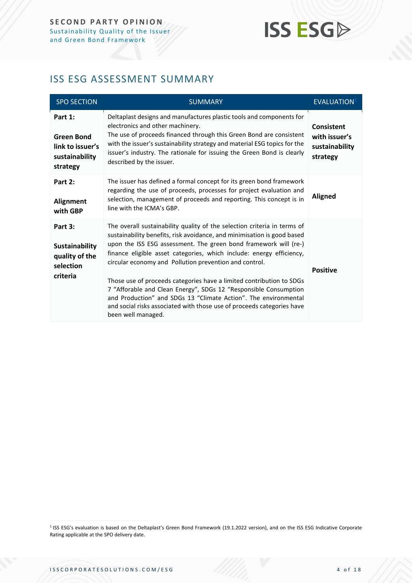## <span id="page-3-0"></span>ISS ESG ASSESSMENT SUMMARY

| <b>SPO SECTION</b>                                                             | <b>SUMMARY</b>                                                                                                                                                                                                                                                                                                                                                                                                                                                                                                                                                                                                                                                           | EVALUATION <sup>1</sup>                                   |
|--------------------------------------------------------------------------------|--------------------------------------------------------------------------------------------------------------------------------------------------------------------------------------------------------------------------------------------------------------------------------------------------------------------------------------------------------------------------------------------------------------------------------------------------------------------------------------------------------------------------------------------------------------------------------------------------------------------------------------------------------------------------|-----------------------------------------------------------|
| Part 1:<br><b>Green Bond</b><br>link to issuer's<br>sustainability<br>strategy | Deltaplast designs and manufactures plastic tools and components for<br>electronics and other machinery.<br>The use of proceeds financed through this Green Bond are consistent<br>with the issuer's sustainability strategy and material ESG topics for the<br>issuer's industry. The rationale for issuing the Green Bond is clearly<br>described by the issuer.                                                                                                                                                                                                                                                                                                       | Consistent<br>with issuer's<br>sustainability<br>strategy |
| Part 2:<br><b>Alignment</b><br>with GBP                                        | The issuer has defined a formal concept for its green bond framework<br>regarding the use of proceeds, processes for project evaluation and<br>selection, management of proceeds and reporting. This concept is in<br>line with the ICMA's GBP.                                                                                                                                                                                                                                                                                                                                                                                                                          | <b>Aligned</b>                                            |
| Part 3:<br><b>Sustainability</b><br>quality of the<br>selection<br>criteria    | The overall sustainability quality of the selection criteria in terms of<br>sustainability benefits, risk avoidance, and minimisation is good based<br>upon the ISS ESG assessment. The green bond framework will (re-)<br>finance eligible asset categories, which include: energy efficiency,<br>circular economy and Pollution prevention and control.<br>Those use of proceeds categories have a limited contribution to SDGs<br>7 "Afforable and Clean Energy", SDGs 12 "Responsible Consumption<br>and Production" and SDGs 13 "Climate Action". The environmental<br>and social risks associated with those use of proceeds categories have<br>been well managed. | <b>Positive</b>                                           |

<sup>&</sup>lt;sup>1</sup> ISS ESG's evaluation is based on the Deltaplast's Green Bond Framework (19.1.2022 version), and on the ISS ESG Indicative Corporate Rating applicable at the SPO delivery date.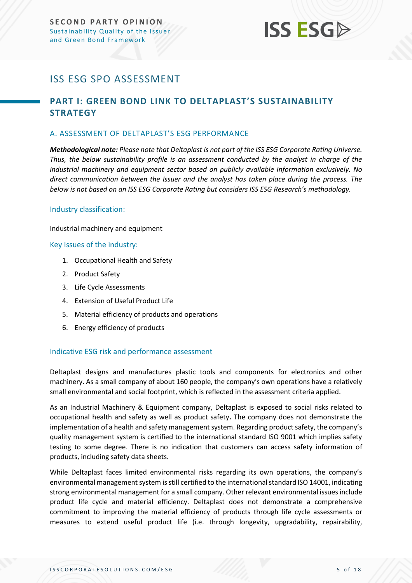## <span id="page-4-0"></span>ISS ESG SPO ASSESSMENT

### <span id="page-4-1"></span>**PART I: GREEN BOND LINK TO DELTAPLAST'S SUSTAINABILITY STRATEGY**

#### <span id="page-4-2"></span>A. ASSESSMENT OF DELTAPLAST'S ESG PERFORMANCE

*Methodological note: Please note that Deltaplast is not part of the ISS ESG Corporate Rating Universe. Thus, the below sustainability profile is an assessment conducted by the analyst in charge of the industrial machinery and equipment sector based on publicly available information exclusively. No direct communication between the Issuer and the analyst has taken place during the process. The below is not based on an ISS ESG Corporate Rating but considers ISS ESG Research's methodology.*

#### Industry classification:

Industrial machinery and equipment

#### Key Issues of the industry:

- 1. Occupational Health and Safety
- 2. Product Safety
- 3. Life Cycle Assessments
- 4. Extension of Useful Product Life
- 5. Material efficiency of products and operations
- 6. Energy efficiency of products

#### Indicative ESG risk and performance assessment

Deltaplast designs and manufactures plastic tools and components for electronics and other machinery. As a small company of about 160 people, the company's own operations have a relatively small environmental and social footprint, which is reflected in the assessment criteria applied.

As an Industrial Machinery & Equipment company, Deltaplast is exposed to social risks related to occupational health and safety as well as product safety**.** The company does not demonstrate the implementation of a health and safety management system. Regarding product safety, the company's quality management system is certified to the international standard ISO 9001 which implies safety testing to some degree. There is no indication that customers can access safety information of products, including safety data sheets.

While Deltaplast faces limited environmental risks regarding its own operations, the company's environmental management system is still certified to the international standard ISO 14001, indicating strong environmental management for a small company. Other relevant environmental issues include product life cycle and material efficiency. Deltaplast does not demonstrate a comprehensive commitment to improving the material efficiency of products through life cycle assessments or measures to extend useful product life (i.e. through longevity, upgradability, repairability,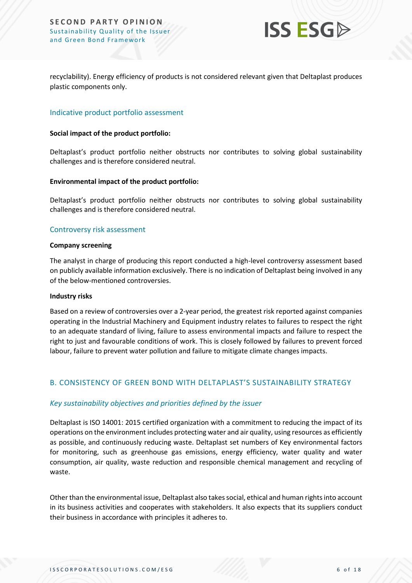

recyclability). Energy efficiency of products is not considered relevant given that Deltaplast produces plastic components only.

#### Indicative product portfolio assessment

#### **Social impact of the product portfolio:**

Deltaplast's product portfolio neither obstructs nor contributes to solving global sustainability challenges and is therefore considered neutral.

#### **Environmental impact of the product portfolio:**

Deltaplast's product portfolio neither obstructs nor contributes to solving global sustainability challenges and is therefore considered neutral.

#### Controversy risk assessment

#### **Company screening**

The analyst in charge of producing this report conducted a high-level controversy assessment based on publicly available information exclusively. There is no indication of Deltaplast being involved in any of the below-mentioned controversies.

#### **Industry risks**

Based on a review of controversies over a 2-year period, the greatest risk reported against companies operating in the Industrial Machinery and Equipment industry relates to failures to respect the right to an adequate standard of living, failure to assess environmental impacts and failure to respect the right to just and favourable conditions of work. This is closely followed by failures to prevent forced labour, failure to prevent water pollution and failure to mitigate climate changes impacts.

#### <span id="page-5-0"></span>B. CONSISTENCY OF GREEN BOND WITH DELTAPLAST'S SUSTAINABILITY STRATEGY

#### *Key sustainability objectives and priorities defined by the issuer*

Deltaplast is ISO 14001: 2015 certified organization with a commitment to reducing the impact of its operations on the environment includes protecting water and air quality, using resources as efficiently as possible, and continuously reducing waste. Deltaplast set numbers of Key environmental factors for monitoring, such as greenhouse gas emissions, energy efficiency, water quality and water consumption, air quality, waste reduction and responsible chemical management and recycling of waste.

Other than the environmental issue, Deltaplast also takessocial, ethical and human rights into account in its business activities and cooperates with stakeholders. It also expects that its suppliers conduct their business in accordance with principles it adheres to.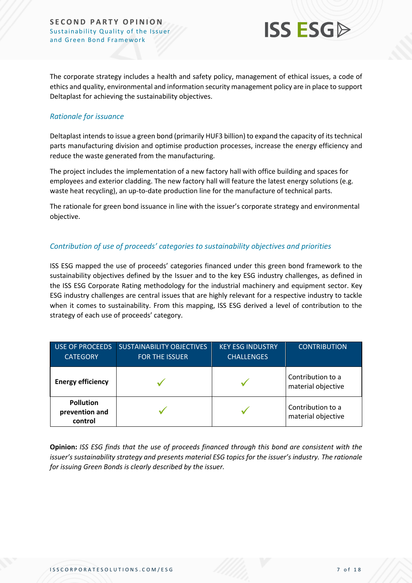#### **SECOND PARTY OPINION** Sustainability Quality of the Issuer and Green Bond Framework



The corporate strategy includes a health and safety policy, management of ethical issues, a code of ethics and quality, environmental and information security management policy are in place to support Deltaplast for achieving the sustainability objectives.

#### *Rationale for issuance*

Deltaplast intends to issue a green bond (primarily HUF3 billion) to expand the capacity of its technical parts manufacturing division and optimise production processes, increase the energy efficiency and reduce the waste generated from the manufacturing.

The project includes the implementation of a new factory hall with office building and spaces for employees and exterior cladding. The new factory hall will feature the latest energy solutions (e.g. waste heat recycling), an up-to-date production line for the manufacture of technical parts.

The rationale for green bond issuance in line with the issuer's corporate strategy and environmental objective.

#### *Contribution of use of proceeds' categories to sustainability objectives and priorities*

ISS ESG mapped the use of proceeds' categories financed under this green bond framework to the sustainability objectives defined by the Issuer and to the key ESG industry challenges, as defined in the ISS ESG Corporate Rating methodology for the industrial machinery and equipment sector. Key ESG industry challenges are central issues that are highly relevant for a respective industry to tackle when it comes to sustainability. From this mapping, ISS ESG derived a level of contribution to the strategy of each use of proceeds' category.

| <b>USE OF PROCEEDS</b><br><b>CATEGORY</b>     | <b>SUSTAINABILITY OBJECTIVES</b><br><b>FOR THE ISSUER</b> | <b>KEY ESG INDUSTRY</b><br><b>CHALLENGES</b> | <b>CONTRIBUTION</b>                     |
|-----------------------------------------------|-----------------------------------------------------------|----------------------------------------------|-----------------------------------------|
| <b>Energy efficiency</b>                      |                                                           |                                              | Contribution to a<br>material objective |
| <b>Pollution</b><br>prevention and<br>control |                                                           |                                              | Contribution to a<br>material objective |

**Opinion:** *ISS ESG finds that the use of proceeds financed through this bond are consistent with the issuer's sustainability strategy and presents material ESG topics for the issuer's industry. The rationale for issuing Green Bonds is clearly described by the issuer.*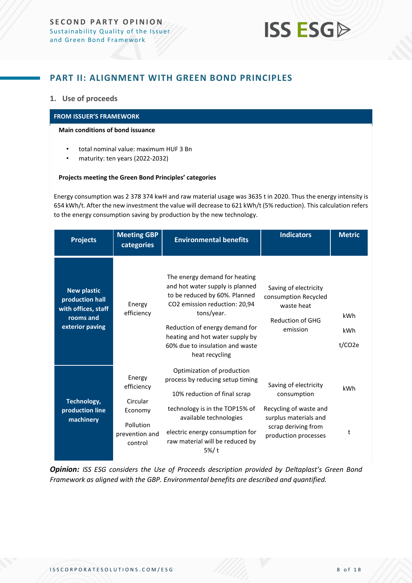### <span id="page-7-0"></span>**PART II: ALIGNMENT WITH GREEN BOND PRINCIPLES**

#### **1. Use of proceeds**

#### **FROM ISSUER'S FRAMEWORK**

#### **Main conditions of bond issuance**

- total nominal value: maximum HUF 3 Bn
- maturity: ten years (2022-2032)

#### **Projects meeting the Green Bond Principles' categories**

Energy consumption was 2 378 374 kwH and raw material usage was 3635 t in 2020. Thus the energy intensity is 654 kWh/t. After the new investment the value will decrease to 621 kWh/t (5% reduction). This calculation refers to the energy consumption saving by production by the new technology.

| <b>Projects</b>                                                                              | <b>Meeting GBP</b><br>categories                                                      | <b>Environmental benefits</b>                                                                                                                                                                                                                                              | <b>Indicators</b>                                                                                                                      | <b>Metric</b>        |
|----------------------------------------------------------------------------------------------|---------------------------------------------------------------------------------------|----------------------------------------------------------------------------------------------------------------------------------------------------------------------------------------------------------------------------------------------------------------------------|----------------------------------------------------------------------------------------------------------------------------------------|----------------------|
| <b>New plastic</b><br>production hall<br>with offices, staff<br>rooms and<br>exterior paving | Energy<br>efficiency                                                                  | The energy demand for heating<br>and hot water supply is planned<br>to be reduced by 60%. Planned<br>CO2 emission reduction: 20,94<br>tons/year.<br>Reduction of energy demand for<br>heating and hot water supply by<br>60% due to insulation and waste<br>heat recycling | Saving of electricity<br>consumption Recycled<br>waste heat<br><b>Reduction of GHG</b><br>emission                                     | kWh<br>kWh<br>t/CO2e |
| Technology,<br>production line<br>machinery                                                  | Energy<br>efficiency<br>Circular<br>Economy<br>Pollution<br>prevention and<br>control | Optimization of production<br>process by reducing setup timing<br>10% reduction of final scrap<br>technology is in the TOP15% of<br>available technologies<br>electric energy consumption for<br>raw material will be reduced by<br>5%/t                                   | Saving of electricity<br>consumption<br>Recycling of waste and<br>surplus materials and<br>scrap deriving from<br>production processes | kWh<br>t             |

*Opinion: ISS ESG considers the Use of Proceeds description provided by Deltaplast's Green Bond Framework as aligned with the GBP. Environmental benefits are described and quantified.*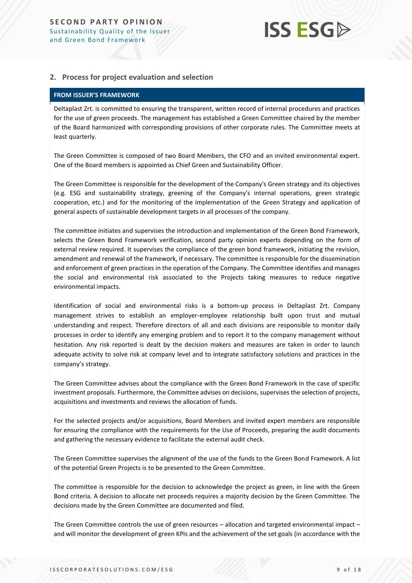#### **2. Process for project evaluation and selection**

#### **FROM ISSUER'S FRAMEWORK**

Deltaplast Zrt. is committed to ensuring the transparent, written record of internal procedures and practices for the use of green proceeds. The management has established a Green Committee chaired by the member of the Board harmonized with corresponding provisions of other corporate rules. The Committee meets at least quarterly.

The Green Committee is composed of two Board Members, the CFO and an invited environmental expert. One of the Board members is appointed as Chief Green and Sustainability Officer.

The Green Committee is responsible for the development of the Company's Green strategy and its objectives (e.g. ESG and sustainability strategy, greening of the Company's internal operations, green strategic cooperation, etc.) and for the monitoring of the implementation of the Green Strategy and application of general aspects of sustainable development targets in all processes of the company.

The committee initiates and supervises the introduction and implementation of the Green Bond Framework, selects the Green Bond Framework verification, second party opinion experts depending on the form of external review required. It supervises the compliance of the green bond framework, initiating the revision, amendment and renewal of the framework, if necessary. The committee is responsible for the dissemination and enforcement of green practices in the operation of the Company. The Committee identifies and manages the social and environmental risk associated to the Projects taking measures to reduce negative environmental impacts.

Identification of social and environmental risks is a bottom-up process in Deltaplast Zrt. Company management strives to establish an employer-employee relationship built upon trust and mutual understanding and respect. Therefore directors of all and each divisions are responsible to monitor daily processes in order to identify any emerging problem and to report it to the company management without hesitation. Any risk reported is dealt by the decision makers and measures are taken in order to launch adequate activity to solve risk at company level and to integrate satisfactory solutions and practices in the company's strategy.

The Green Committee advises about the compliance with the Green Bond Framework in the case of specific investment proposals. Furthermore, the Committee advises on decisions, supervises the selection of projects, acquisitions and investments and reviews the allocation of funds.

For the selected projects and/or acquisitions, Board Members and invited expert members are responsible for ensuring the compliance with the requirements for the Use of Proceeds, preparing the audit documents and gathering the necessary evidence to facilitate the external audit check.

The Green Committee supervises the alignment of the use of the funds to the Green Bond Framework. A list of the potential Green Projects is to be presented to the Green Committee.

The committee is responsible for the decision to acknowledge the project as green, in line with the Green Bond criteria. A decision to allocate net proceeds requires a majority decision by the Green Committee. The decisions made by the Green Committee are documented and filed.

The Green Committee controls the use of green resources – allocation and targeted environmental impact – and will monitor the development of green KPIs and the achievement of the set goals (in accordance with the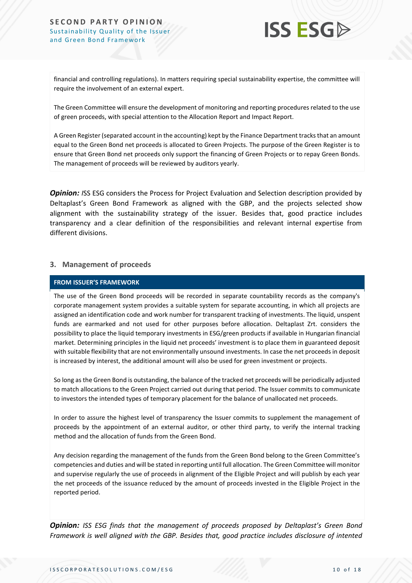#### **SECOND PARTY OPINION** Sustainability Quality of the Issuer and Green Bond Framework



financial and controlling regulations). In matters requiring special sustainability expertise, the committee will require the involvement of an external expert.

The Green Committee will ensure the development of monitoring and reporting procedures related to the use of green proceeds, with special attention to the Allocation Report and Impact Report.

A Green Register (separated account in the accounting) kept by the Finance Department tracks that an amount equal to the Green Bond net proceeds is allocated to Green Projects. The purpose of the Green Register is to ensure that Green Bond net proceeds only support the financing of Green Projects or to repay Green Bonds. The management of proceeds will be reviewed by auditors yearly.

*Opinion: ISS* ESG considers the Process for Project Evaluation and Selection description provided by Deltaplast's Green Bond Framework as aligned with the GBP, and the projects selected show alignment with the sustainability strategy of the issuer. Besides that, good practice includes transparency and a clear definition of the responsibilities and relevant internal expertise from different divisions.

#### **3. Management of proceeds**

#### **FROM ISSUER'S FRAMEWORK**

The use of the Green Bond proceeds will be recorded in separate countability records as the company's corporate management system provides a suitable system for separate accounting, in which all projects are assigned an identification code and work number for transparent tracking of investments. The liquid, unspent funds are earmarked and not used for other purposes before allocation. Deltaplast Zrt. considers the possibility to place the liquid temporary investments in ESG/green products if available in Hungarian financial market. Determining principles in the liquid net proceeds' investment is to place them in guaranteed deposit with suitable flexibility that are not environmentally unsound investments. In case the net proceeds in deposit is increased by interest, the additional amount will also be used for green investment or projects.

So long as the Green Bond is outstanding, the balance of the tracked net proceeds will be periodically adjusted to match allocations to the Green Project carried out during that period. The Issuer commits to communicate to investors the intended types of temporary placement for the balance of unallocated net proceeds.

In order to assure the highest level of transparency the Issuer commits to supplement the management of proceeds by the appointment of an external auditor, or other third party, to verify the internal tracking method and the allocation of funds from the Green Bond.

Any decision regarding the management of the funds from the Green Bond belong to the Green Committee's competencies and duties and will be stated in reporting until full allocation. The Green Committee will monitor and supervise regularly the use of proceeds in alignment of the Eligible Project and will publish by each year the net proceeds of the issuance reduced by the amount of proceeds invested in the Eligible Project in the reported period.

*Opinion: ISS ESG finds that the management of proceeds proposed by Deltaplast's Green Bond Framework is well aligned with the GBP. Besides that, good practice includes disclosure of intented*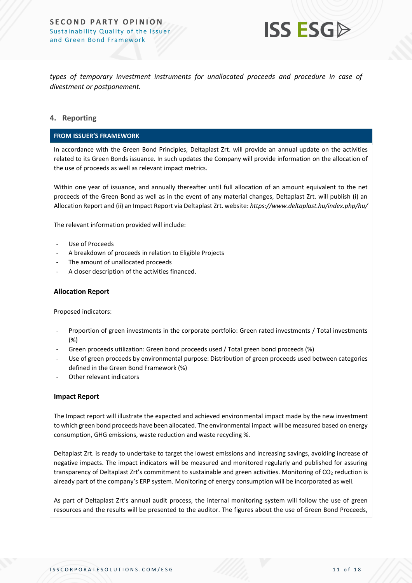

*types of temporary investment instruments for unallocated proceeds and procedure in case of divestment or postponement.* 

#### **4. Reporting**

#### **FROM ISSUER'S FRAMEWORK**

In accordance with the Green Bond Principles, Deltaplast Zrt. will provide an annual update on the activities related to its Green Bonds issuance. In such updates the Company will provide information on the allocation of the use of proceeds as well as relevant impact metrics.

Within one year of issuance, and annually thereafter until full allocation of an amount equivalent to the net proceeds of the Green Bond as well as in the event of any material changes, Deltaplast Zrt. will publish (i) an Allocation Report and (ii) an Impact Report via Deltaplast Zrt. website: *https://www.deltaplast.hu/index.php/hu/*

The relevant information provided will include:

- Use of Proceeds
- A breakdown of proceeds in relation to Eligible Projects
- The amount of unallocated proceeds
- A closer description of the activities financed.

#### › **Allocation Report**

› Proposed indicators:

- Proportion of green investments in the corporate portfolio: Green rated investments / Total investments (%)
- Green proceeds utilization: Green bond proceeds used / Total green bond proceeds (%)
- Use of green proceeds by environmental purpose: Distribution of green proceeds used between categories defined in the Green Bond Framework (%)
- Other relevant indicators

#### **Impact Report**

The Impact report will illustrate the expected and achieved environmental impact made by the new investment to which green bond proceeds have been allocated. The environmental impact will be measured based on energy consumption, GHG emissions, waste reduction and waste recycling %.

Deltaplast Zrt. is ready to undertake to target the lowest emissions and increasing savings, avoiding increase of negative impacts. The impact indicators will be measured and monitored regularly and published for assuring transparency of Deltaplast Zrt's commitment to sustainable and green activities. Monitoring of CO<sub>2</sub> reduction is already part of the company's ERP system. Monitoring of energy consumption will be incorporated as well.

As part of Deltaplast Zrt's annual audit process, the internal monitoring system will follow the use of green resources and the results will be presented to the auditor. The figures about the use of Green Bond Proceeds,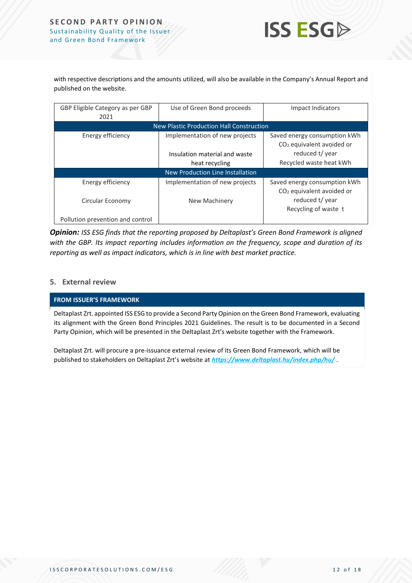#### **SECOND PARTY OPINION** Sustainability Quality of the Issuer and Green Bond Framework



with respective descriptions and the amounts utilized, will also be available in the Company's Annual Report and published on the website.

| GBP Eligible Category as per GBP<br>2021 | Use of Green Bond proceeds                                      | Impact Indicators                                                                        |  |  |
|------------------------------------------|-----------------------------------------------------------------|------------------------------------------------------------------------------------------|--|--|
| New Plastic Production Hall Construction |                                                                 |                                                                                          |  |  |
| Energy efficiency                        | Implementation of new projects<br>Insulation material and waste | Saved energy consumption kWh<br>CO <sub>2</sub> equivalent avoided or<br>reduced t/ year |  |  |
|                                          | heat recycling                                                  | Recycled waste heat kWh                                                                  |  |  |
| New Production Line Installation         |                                                                 |                                                                                          |  |  |
| Energy efficiency                        | Implementation of new projects                                  | Saved energy consumption kWh<br>CO <sub>2</sub> equivalent avoided or                    |  |  |
| Circular Economy                         | New Machinery                                                   | reduced t/ year<br>Recycling of waste t                                                  |  |  |
| Pollution prevention and control         |                                                                 |                                                                                          |  |  |

*Opinion: ISS ESG finds that the reporting proposed by Deltaplast's Green Bond Framework is aligned with the GBP. Its impact reporting includes information on the frequency, scope and duration of its reporting as well as impact indicators, which is in line with best market practice.* 

#### **5. External review**

#### **FROM ISSUER'S FRAMEWORK**

Deltaplast Zrt. appointed ISS ESG to provide a Second Party Opinion on the Green Bond Framework, evaluating its alignment with the Green Bond Principles 2021 Guidelines. The result is to be documented in a Second Party Opinion, which will be presented in the Deltaplast Zrt's website together with the Framework.

Deltaplast Zrt. will procure a pre-issuance external review of its Green Bond Framework, which will be published to stakeholders on Deltaplast Zrt's website at *<https://www.deltaplast.hu/index.php/hu/>* .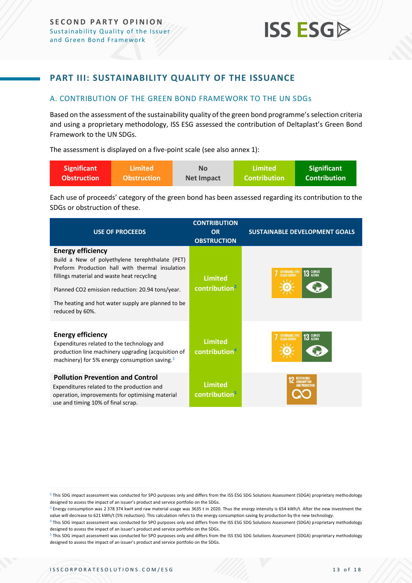### <span id="page-12-0"></span>**PART III: SUSTAINABILITY QUALITY OF THE ISSUANCE**

#### <span id="page-12-1"></span>A. CONTRIBUTION OF THE GREEN BOND FRAMEWORK TO THE UN SDGs

Based on the assessment of the sustainability quality of the green bond programme's selection criteria and using a proprietary methodology, ISS ESG assessed the contribution of Deltaplast's Green Bond Framework to the UN SDGs.

The assessment is displayed on a five-point scale (see also annex 1):

| <b>Significant</b> | \Limited \         | No                | Limited       | <b>Significant</b>  |
|--------------------|--------------------|-------------------|---------------|---------------------|
| <b>Obstruction</b> | <b>Obstruction</b> | <b>Net Impact</b> | Contribution' | <b>Contribution</b> |

Each use of proceeds' category of the green bond has been assessed regarding its contribution to the SDGs or obstruction of these.

| <b>USE OF PROCEEDS</b>                                                                                                                                                                                                                                                                                    | <b>CONTRIBUTION</b><br><b>OR</b><br><b>OBSTRUCTION</b> | <b>SUSTAINABLE DEVELOPMENT GOALS</b>                |
|-----------------------------------------------------------------------------------------------------------------------------------------------------------------------------------------------------------------------------------------------------------------------------------------------------------|--------------------------------------------------------|-----------------------------------------------------|
| <b>Energy efficiency</b><br>Build a New of polyethylene terephthalate (PET)<br>Preform Production hall with thermal insulation<br>fillings material and waste heat recycling<br>Planned CO2 emission reduction: 20.94 tons/year.<br>The heating and hot water supply are planned to be<br>reduced by 60%. | <b>Limited</b><br>contribution <sup>2</sup>            | 13 GLIMATE<br>AFFORDABLE AND                        |
| <b>Energy efficiency</b><br>Expenditures related to the technology and<br>production line machinery upgrading (acquisition of<br>machinery) for 5% energy consumption saving. <sup>3</sup>                                                                                                                | <b>Limited</b><br>contribution <sup>4</sup>            | <b>13 GLIMATE</b><br>AFFORDABLE AND<br>CLEAN ENERGY |
| <b>Pollution Prevention and Control</b><br>Expenditures related to the production and<br>operation, improvements for optimising material<br>use and timing 10% of final scrap.                                                                                                                            | <b>Limited</b><br>contribution <sup>5</sup>            | RESPONSIBLE<br><b>CONSUMPTION</b><br>ND PRODUCTION  |

 $^2$  This SDG impact assessment was conducted for SPO purposes only and differs from the ISS ESG SDG Solutions Assessment (SDGA) proprietary methodology designed to assess the impact of an issuer's product and service portfolio on the SDGs.

<sup>&</sup>lt;sup>3</sup> Energy consumption was 2 378 374 kwH and raw material usage was 3635 t in 2020. Thus the energy intensity is 654 kWh/t. After the new investment the value will decrease to 621 kWh/t (5% reduction). This calculation refers to the energy consumption saving by production by the new technology.

<sup>4</sup> This SDG impact assessment was conducted for SPO purposes only and differs from the ISS ESG SDG Solutions Assessment (SDGA) proprietary methodology designed to assess the impact of an issuer's product and service portfolio on the SDGs.

<sup>&</sup>lt;sup>5</sup> This SDG impact assessment was conducted for SPO purposes only and differs from the ISS ESG SDG Solutions Assessment (SDGA) proprietary methodology designed to assess the impact of an issuer's product and service portfolio on the SDGs.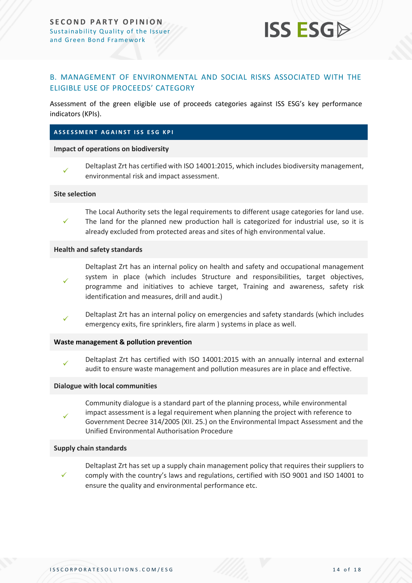

#### <span id="page-13-0"></span>B. MANAGEMENT OF ENVIRONMENTAL AND SOCIAL RISKS ASSOCIATED WITH THE ELIGIBLE USE OF PROCEEDS' CATEGORY

Assessment of the green eligible use of proceeds categories against ISS ESG's key performance indicators (KPIs).

#### **A S S E S S M E N T A G A I N S T I S S E S G K P I**

#### **Impact of operations on biodiversity**



Deltaplast Zrt has certified with ISO 14001:2015, which includes biodiversity management, environmental risk and impact assessment.

#### **Site selection**

✓ The Local Authority sets the legal requirements to different usage categories for land use. The land for the planned new production hall is categorized for industrial use, so it is already excluded from protected areas and sites of high environmental value.

#### **Health and safety standards**

- ✓ Deltaplast Zrt has an internal policy on health and safety and occupational management system in place (which includes Structure and responsibilities, target objectives, programme and initiatives to achieve target, Training and awareness, safety risk identification and measures, drill and audit.)
- ✓ Deltaplast Zrt has an internal policy on emergencies and safety standards (which includes emergency exits, fire sprinklers, fire alarm ) systems in place as well.

#### **Waste management & pollution prevention**

✓ Deltaplast Zrt has certified with ISO 14001:2015 with an annually internal and external audit to ensure waste management and pollution measures are in place and effective.

#### **Dialogue with local communities**

Community dialogue is a standard part of the planning process, while environmental impact assessment is a legal requirement when planning the project with reference to Government Decree 314/2005 (XII. 25.) on the Environmental Impact Assessment and the Unified Environmental Authorisation Procedure

#### **Supply chain standards**

✓

✓? Deltaplast Zrt has set up a supply chain management policy that requires their suppliers to comply with the country's laws and regulations, certified with ISO 9001 and ISO 14001 to ensure the quality and environmental performance etc.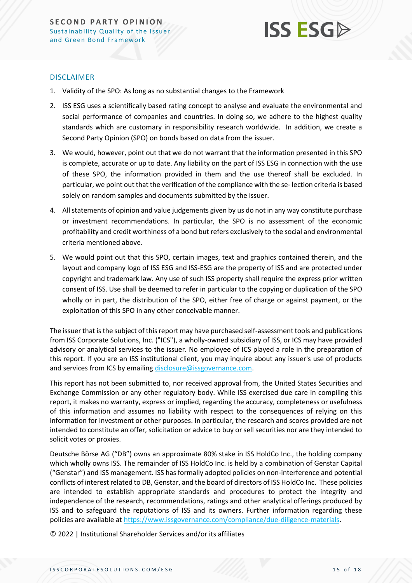

#### DISCLAIMER

- 1. Validity of the SPO: As long as no substantial changes to the Framework
- 2. ISS ESG uses a scientifically based rating concept to analyse and evaluate the environmental and social performance of companies and countries. In doing so, we adhere to the highest quality standards which are customary in responsibility research worldwide. In addition, we create a Second Party Opinion (SPO) on bonds based on data from the issuer.
- 3. We would, however, point out that we do not warrant that the information presented in this SPO is complete, accurate or up to date. Any liability on the part of ISS ESG in connection with the use of these SPO, the information provided in them and the use thereof shall be excluded. In particular, we point out that the verification of the compliance with the se- lection criteria is based solely on random samples and documents submitted by the issuer.
- 4. All statements of opinion and value judgements given by us do not in any way constitute purchase or investment recommendations. In particular, the SPO is no assessment of the economic profitability and credit worthiness of a bond but refers exclusively to the social and environmental criteria mentioned above.
- 5. We would point out that this SPO, certain images, text and graphics contained therein, and the layout and company logo of ISS ESG and ISS-ESG are the property of ISS and are protected under copyright and trademark law. Any use of such ISS property shall require the express prior written consent of ISS. Use shall be deemed to refer in particular to the copying or duplication of the SPO wholly or in part, the distribution of the SPO, either free of charge or against payment, or the exploitation of this SPO in any other conceivable manner.

The issuer that is the subject of this report may have purchased self-assessment tools and publications from ISS Corporate Solutions, Inc. ("ICS"), a wholly-owned subsidiary of ISS, or ICS may have provided advisory or analytical services to the issuer. No employee of ICS played a role in the preparation of this report. If you are an ISS institutional client, you may inquire about any issuer's use of products and services from ICS by emailin[g disclosure@issgovernance.com.](mailto:disclosure@issgovernance.com)

This report has not been submitted to, nor received approval from, the United States Securities and Exchange Commission or any other regulatory body. While ISS exercised due care in compiling this report, it makes no warranty, express or implied, regarding the accuracy, completeness or usefulness of this information and assumes no liability with respect to the consequences of relying on this information for investment or other purposes. In particular, the research and scores provided are not intended to constitute an offer, solicitation or advice to buy or sell securities nor are they intended to solicit votes or proxies.

Deutsche Börse AG ("DB") owns an approximate 80% stake in ISS HoldCo Inc., the holding company which wholly owns ISS. The remainder of ISS HoldCo Inc. is held by a combination of Genstar Capital ("Genstar") and ISS management. ISS has formally adopted policies on non-interference and potential conflicts of interest related to DB, Genstar, and the board of directors of ISS HoldCo Inc. These policies are intended to establish appropriate standards and procedures to protect the integrity and independence of the research, recommendations, ratings and other analytical offerings produced by ISS and to safeguard the reputations of ISS and its owners. Further information regarding these policies are available a[t https://www.issgovernance.com/compliance/due-diligence-materials.](https://www.issgovernance.com/compliance/due-diligence-materials)

© 2022 | Institutional Shareholder Services and/or its affiliates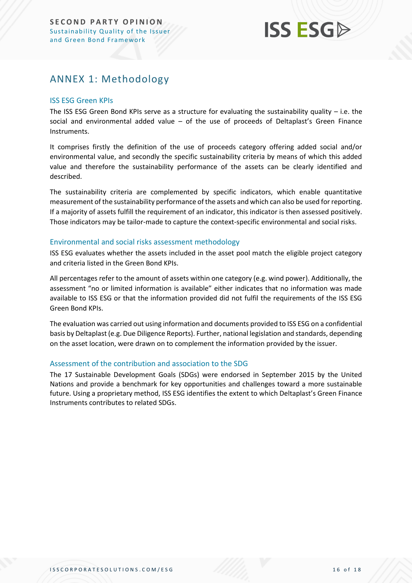## <span id="page-15-0"></span>ANNEX 1: Methodology

#### ISS ESG Green KPIs

The ISS ESG Green Bond KPIs serve as a structure for evaluating the sustainability quality  $-$  i.e. the social and environmental added value – of the use of proceeds of Deltaplast's Green Finance Instruments.

It comprises firstly the definition of the use of proceeds category offering added social and/or environmental value, and secondly the specific sustainability criteria by means of which this added value and therefore the sustainability performance of the assets can be clearly identified and described.

The sustainability criteria are complemented by specific indicators, which enable quantitative measurement of the sustainability performance of the assets and which can also be used for reporting. If a majority of assets fulfill the requirement of an indicator, this indicator is then assessed positively. Those indicators may be tailor-made to capture the context-specific environmental and social risks.

#### Environmental and social risks assessment methodology

ISS ESG evaluates whether the assets included in the asset pool match the eligible project category and criteria listed in the Green Bond KPIs.

All percentages refer to the amount of assets within one category (e.g. wind power). Additionally, the assessment "no or limited information is available" either indicates that no information was made available to ISS ESG or that the information provided did not fulfil the requirements of the ISS ESG Green Bond KPIs.

The evaluation was carried out using information and documents provided to ISS ESG on a confidential basis by Deltaplast (e.g. Due Diligence Reports). Further, national legislation and standards, depending on the asset location, were drawn on to complement the information provided by the issuer.

#### Assessment of the contribution and association to the SDG

The 17 Sustainable Development Goals (SDGs) were endorsed in September 2015 by the United Nations and provide a benchmark for key opportunities and challenges toward a more sustainable future. Using a proprietary method, ISS ESG identifies the extent to which Deltaplast's Green Finance Instruments contributes to related SDGs.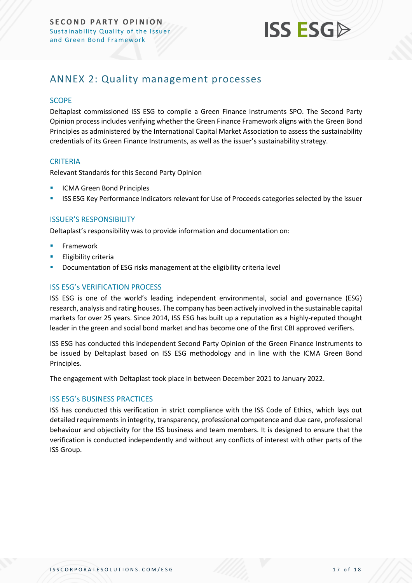

### <span id="page-16-0"></span>ANNEX 2: Quality management processes

#### **SCOPE**

Deltaplast commissioned ISS ESG to compile a Green Finance Instruments SPO. The Second Party Opinion process includes verifying whether the Green Finance Framework aligns with the Green Bond Principles as administered by the International Capital Market Association to assess the sustainability credentials of its Green Finance Instruments, as well as the issuer's sustainability strategy.

#### **CRITERIA**

Relevant Standards for this Second Party Opinion

- **ICMA Green Bond Principles**
- **ISS ESG Key Performance Indicators relevant for Use of Proceeds categories selected by the issuer**

#### ISSUER'S RESPONSIBILITY

Deltaplast's responsibility was to provide information and documentation on:

- **Framework**
- **Eligibility criteria**
- Documentation of ESG risks management at the eligibility criteria level

#### ISS ESG's VERIFICATION PROCESS

ISS ESG is one of the world's leading independent environmental, social and governance (ESG) research, analysis and rating houses. The company has been actively involved in the sustainable capital markets for over 25 years. Since 2014, ISS ESG has built up a reputation as a highly-reputed thought leader in the green and social bond market and has become one of the first CBI approved verifiers.

ISS ESG has conducted this independent Second Party Opinion of the Green Finance Instruments to be issued by Deltaplast based on ISS ESG methodology and in line with the ICMA Green Bond Principles.

The engagement with Deltaplast took place in between December 2021 to January 2022.

#### ISS ESG's BUSINESS PRACTICES

ISS has conducted this verification in strict compliance with the ISS Code of Ethics, which lays out detailed requirements in integrity, transparency, professional competence and due care, professional behaviour and objectivity for the ISS business and team members. It is designed to ensure that the verification is conducted independently and without any conflicts of interest with other parts of the ISS Group.